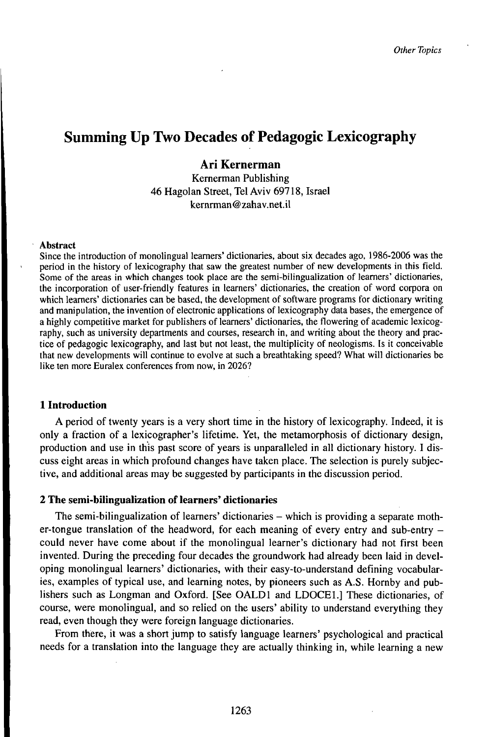# Summing Up Two Decades of Pedagogic Lexicography

## Ari Kernerman

Kernerman Publishing 46 Hagolan Street, Tel Aviv 69718, Israel kernrman @zahav. net.il

## Abstract

Since the introduction of monolingual learners' dictionaries, about six decades ago, 1986-2006 was the period in the history of lexicography that saw the greatest number of new developments in this field. Some of the areas in which changes took place are the semi-bilingualization of learners' dictionaries, the incorporation of user-friendly features in learners' dictionaries, the creation of word corpora on which learners' dictionaries can be based, the development of software programs for dictionary writing and manipulation, the invention of electronic applications of lexicography data bases, the emergence of a highly competitive market for publishers of learners' dictionaries, the flowering of academic lexicography, such as university departments and courses, research in, and writing about the theory and practice of pedagogic lexicography, and last but not least, the multiplicity of neologisms. Is it conceivable that new developments will continue to evolve at such a breathtaking speed? What will dictionaries be like ten more Euralex conferences from now, in 2026?

## **1 Introduction**

A period of twenty years is a very short time in the history of lexicography. Indeed, it is only a fraction of a lexicographer's lifetime. Yet, the metamorphosis of dictionary design, production and use in this past score of years is unparalleled in all dictionary history. I discuss eight areas in which profound changes have taken place. The selection is purely subjective, and additional areas may be suggested by participants in the discussion period.

## **2 The semi-bilingualization of learners' dictionaries**

The semi-bilingualization of learners' dictionaries – which is providing a separate mother-tongue translation of the headword, for each meaning of every entry and sub-entry could never have come about if the monolingual learner's dictionary had not first been invented. During the preceding four decades the groundwork had already been laid in developing monolingual learners' dictionaries, with their easy-to-understand defining vocabularies, examples of typical use, and learning notes, by pioneers such as A.S. Hornby and publishers such as Longman and Oxford. [See OALDl and LDOCEl.] These dictionaries, of course, were monolingual, and so relied on the users' ability to understand everything they read, even though they were foreign language dictionaries.

From there, it was a short jump to satisfy language learners' psychological and practical needs for a translation into the language they are actually thinking in, while learning a new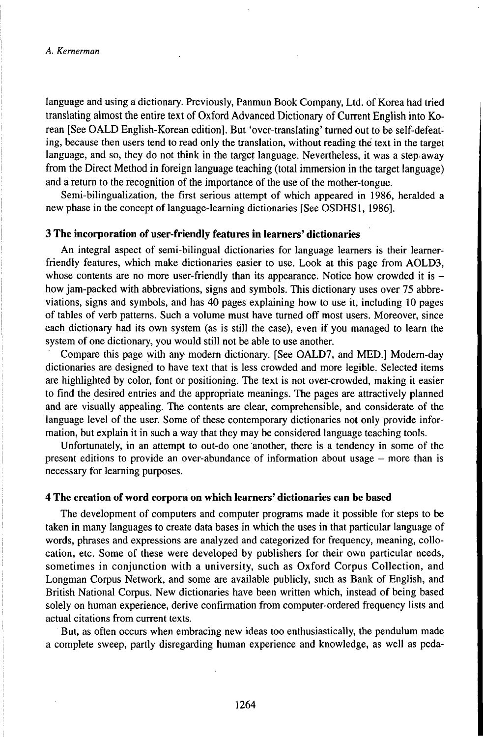language and using a dictionary. Previously, Panmun Book Company, Ltd. of Korea had tried translating almost the entire text of Oxford Advanced Dictionary of Current English into Korean [See OALD English-Korean edition]. But 'over-translating' turned out to be self-defeating, because then users tend to read only the translation, without reading the text in the target language, and so, they do not think in the target language. Nevertheless, it was a step away from the Direct Method in foreign language teaching (total immersion in the target language) and a return to the recognition of the importance of the use of the mother-tongue.

Semi-bilingualization, the first serious attempt of which appeared in 1986, heralded a new phase in the concept of language-learning dictionaries [See OSDHS1, 1986].

## **3 The incorporation of user-friendly features in learners' dictionaries**

An integral aspect of semi-bilingual dictionaries for language learners is their learnerfriendly features, which make dictionaries easier to use. Look at this page from AOLD3, whose contents are no more user-friendly than its appearance. Notice how crowded it is  $$ how jam-packed with abbreviations, signs and symbols. This dictionary uses over 75 abbreviations, signs and symbols, and has 40 pages explaining how to use it, including 10 pages of tables of verb patterns. Such a volume must have turned off most users. Moreover, since each dictionary had its own system (as is still the case), even if you managed to learn the system of one dictionary, you would still not be able to use another.

Compare this page with any modern dictionary. [See OALD7, and MED.] Modern-day dictionaries are designed to have text that is less crowded and more legible. Selected items are highlighted by color, font or positioning. The text is not over-crowded, making it easier to find the desired entries and the appropriate meanings. The pages are attractively planned and are visually appealing. The contents are clear, comprehensible, and considerate of the language level of the user. Some of these contemporary dictionaries not only provide information, but explain it in such a way that they may be considered language teaching tools.

Unfortunately, in an attempt to out-do one another, there is a tendency in some of the present editions to provide an over-abundance of information about usage – more than is necessary for learning purposes.

## **4 The creation of word corpora on which learners' dictionaries can be based**

The development of computers and computer programs made it possible for steps to be taken in many languages to create data bases in which the uses in that particular language of words, phrases and expressions are analyzed and categorized for frequency, meaning, collocation, etc. Some of these were developed by publishers for their own particular needs, sometimes in conjunction with a university, such as Oxford Corpus Collection, and Longman Corpus Network, and some are available publicly, such as Bank of English, and British National Corpus. New dictionaries have been written which, instead of being based solely on human experience, derive confirmation from computer-ordered frequency lists and actual citations from current texts.

But, as often occurs when embracing new ideas too enthusiastically, the pendulum made a complete sweep, partly disregarding human experience and knowledge, as well as peda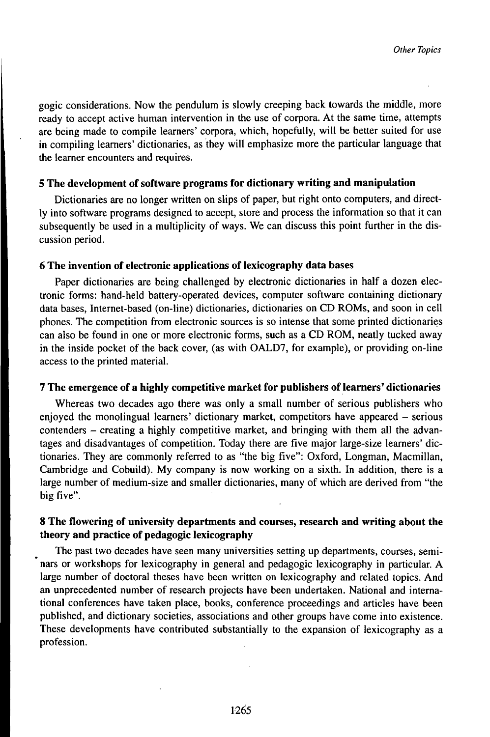gogic considerations. Now the pendulum is slowly creeping back towards the middle, more ready to accept active human intervention in the use of corpora. At the same time, attempts are being made to compile learners' corpora, which, hopefully, will be better suited for use in compiling learners' dictionaries, as they will emphasize more the particular language that the learner encounters and requires.

## **5 The development ofsoftware programs for dictionary writing and manipulation**

Dictionaries are no longer written on slips of paper, but right onto computers, and directly into software programs designed to accept, store and process the information so that it can subsequently be used in a multiplicity of ways. We can discuss this point further in the discussion period.

## **6 The invention of electronic applications of lexicography data bases**

Paper dictionaries are being challenged by electronic dictionaries in half a dozen electronic forms: hand-held battery-operated devices, computer software containing dictionary data bases, Internet-based (on-line) dictionaries, dictionaries on CD ROMs, and soon in cell phones. The competition from electronic sources is so intense that some printed dictionaries can also be found in one or more electronic forms, such as a CD ROM, neatly tucked away in the inside pocket of the back cover, (as with OALD7, for example), or providing on-line access to the printed material.

## **7 The emergence of a highly competitive market for publishers oflearners' dictionaries**

Whereas two decades ago there was only a small number of serious publishers who enjoyed the monolingual learners' dictionary market, competitors have appeared - serious contenders - creating a highly competitive market, and bringing with them all the advantages and disadvantages of competition. Today there are five major large-size learners' dictionaries. They are commonly referred to as "the big five": Oxford, Longman, Macmillan, Cambridge and Cobuild). My company is now working on a sixth. In addition, there is a large number of medium-size and smaller dictionaries, many of which are derived from "the big five".

## **8 The flowering of university departments and courses, research and writing about the theory and practice of pedagogic lexicography**

The past two decades have seen many universities setting up departments, courses, seminars or workshops for lexicography in general and pedagogic lexicography in particular. A large number of doctoral theses have been written on lexicography and related topics. And an unprecedented number of research projects have been undertaken. National and international conferences have taken place, books, conference proceedings and articles have been published, and dictionary societies, associations and other groups have come into existence. These developments have contributed substantially to the expansion of lexicography as a profession.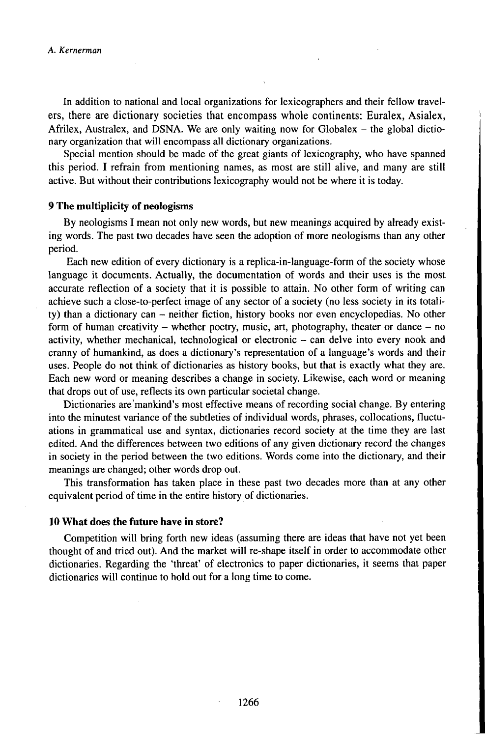In addition to national and local organizations for lexicographers and their fellow travelers, there are dictionary societies that encompass whole continents: Euralex, Asialex, Afrilex, Australex, and DSNA. We are only waiting now for Globalex  $-$  the global dictionary organization that will encompass all dictionary organizations.

Special mention should be made of the great giants of lexicography, who have spanned this period. I refrain from mentioning names, as most are still alive, and many are still active. But without their contributions lexicography would not be where it is today.

## **9 The multiplicity of neologisms**

By neologisms I mean not only new words, but new meanings acquired by already existing words. The past two decades have seen the adoption of more neologisms than any other period.

Each new edition of every dictionary is a replica-in-language-form of the society whose language it documents. Actually, the documentation of words and their uses is the most accurate reflection of a society that it is possible to attain. No other form of writing can achieve such a close-to-perfect image of any sector of a society (no less society in its totality) than <sup>a</sup> dictionary can - neither fiction, history books nor even encyclopedias. No other form of human creativity – whether poetry, music, art, photography, theater or dance – no activity, whether mechanical, technological or electronic - can delve into every nook and cranny of humankind, as does a dictionary's representation of a language's words and their uses. People do not think of dictionaries as history books, but that is exactly what they are. Each new word or meaning describes a change in society. Likewise, each word or meaning that drops out of use, reflects its own particular societal change.

Dictionaries are mankind's most effective means of recording social change. By entering into the minutest variance of the subtleties of individual words, phrases, collocations, fluctuations in grammatical use and syntax, dictionaries record society at the time they are last edited. And the differences between two editions of any given dictionary record the changes in society in the period between the two editions. Words come into the dictionary, and their meanings are changed; other words drop out.

This transformation has taken place in these past two decades more than at any other equivalent period of time in the entire history of dictionaries.

#### **10 What does the future have in store?**

Competition will bring forth new ideas (assuming there are ideas that have not yet been thought of and tried out). And the market will re-shape itself in order to accommodate other dictionaries. Regarding the 'threat' of electronics to paper dictionaries, it seems that paper dictionaries will continue to hold out for a long time to come.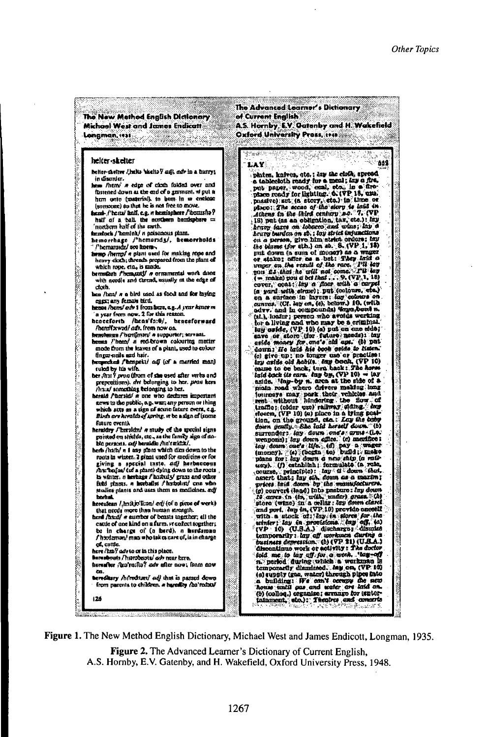| The New Mathod English Dictionary<br>Michael West and James Endicatt<br>Longman, 1938                                                                                                                                                                                                                                                                                                                                                                                                                                                                                                                                                                                                                                                                                                                                                                                                                                      | The Advanced Learner's Dictionary<br>of Current English<br>A.S. Hornby, E.V. Oatonby and H. Wakefield<br>Oxford University Pross, 1940                                                                                                                                                                                                                                                                                                                                                                                                                                                                                                                                                                                                                                                                                                                                                    |
|----------------------------------------------------------------------------------------------------------------------------------------------------------------------------------------------------------------------------------------------------------------------------------------------------------------------------------------------------------------------------------------------------------------------------------------------------------------------------------------------------------------------------------------------------------------------------------------------------------------------------------------------------------------------------------------------------------------------------------------------------------------------------------------------------------------------------------------------------------------------------------------------------------------------------|-------------------------------------------------------------------------------------------------------------------------------------------------------------------------------------------------------------------------------------------------------------------------------------------------------------------------------------------------------------------------------------------------------------------------------------------------------------------------------------------------------------------------------------------------------------------------------------------------------------------------------------------------------------------------------------------------------------------------------------------------------------------------------------------------------------------------------------------------------------------------------------------|
| helter skelter<br>helter-sketter / helts 'skelts Y ask, our in a burry;<br>in disorder.<br>been firent' it edge of cloth folded over and<br>fastened down as the cad of a garmant, w put a<br>hem onto (spaterial), to bem in a enclose<br>(unmoine) as that he is not free to move.<br>hemi-/'homi/ānlf, e.g. w homisphere/'homisha?<br>half of a ball, the northern hemisphere ==<br>'northern half ei the earth.<br>šmudoch / kaniak/ n poisanous plam.<br>hemorrhage /'hemorids/, hemorrholds<br>Phemarated see horm-<br>been flemps a plant used for making rope and<br>heavy cloth; threads propored from the plant of<br>which rope, eta, is made.<br>bermuken fbemants e ormanismist work done<br>with goodle and therma mustly at the edge of<br>doth.<br>hen /hen/ n a hird used as food and for laying<br>eagg any female hird,                                                                                 | t"m#2t<br>552<br>LAY.<br>plates, knives, etc.; Ing the clofk, spread,<br>a tableckith ready for a meal; lay a fire,<br>put paner, wood, ecal, etc., in a fire-<br>place ready for lighting. 6. (VP 18, usu.<br>possivo) sut (a story, sto.) in time or<br>place: The accae of the story is laid in Athens in the librid century n.e. 7. (VP<br>[13] put (as an obligation, tax, etc.): lay<br>herry sares on fobacco and wine; far a<br>heary burden on so, ; for strict insunctions<br>the blume tfor ath.) on ab. 8. (VP.1, 15)<br>grat down in sum of money) as a wager<br>or stake; offer on a but: They lead a unger on the state of the record of the record of the left left for mean $\Gamma$ is left or make) you a bet heat $\sim 9,$ (VP, 1, 10)<br>cover, coat; kry a noor with a carpel<br>(a yard with straw); put (colours, etc.)<br>on a surface in hypen: say colours on |
| bense /bans/ exh 1 from here, a.g. A year hence m<br>a yezr frem now. 2 for this resson.<br>henceforth <i>(hens'fa:0)</i> ,<br>henceforward<br>Arana Correct and a from now on.<br>bensburga / hentfman/ o supporter; servani.<br>hema l'hem/ a red-brown colouring matter<br>mode from the leaves of a plant, used to colour<br>finger-neits and hair.<br>twomen and internetial coff (of a married ment)<br>suled by his wife.<br>ber , frat ? prou (from of she used after vertu and<br>prencessions), are belonging to her, untu hers<br>thand something belonging to her.<br>herald / horald/ n one who declares important<br>ares to the public, e.g. was any person or thing<br>which atts as a sign of acine fature event, e.g.<br>Birds are horalds of soring, we be a sign af isome<br>future events<br>heraldry / threaldn' a study of the mechal signs<br>painted on strictds, etc., sa the family sign of no- | advv. and in compounds) "inya,bont n.<br>À.<br>(at.), londer; person who avoids working<br>tor a living and who may be a criminal.<br>lay aside, (VP 10) (a) put an ano ado;<br>envo or storo (for futuro menda): lau<br>usine money for one's aid apt. (b) put<br>down; He laid his book caide to histen.<br>(c) give up; no longer use or practice;<br>ary aside old habits. Iny book, (VP 10)<br>cause to be back, turn back: The hows<br>fold back tie cars. day by, (VP 10) - tar<br>anide. 'Imp-by n. area at the side of a<br>moin road where drivers making lang<br>journeys may park their vehicles and<br>rent without hindering the flow of<br>traffic; (older une) railway siding any<br>elosen, (VP 10) (a) place in a lying post-<br>tion, on the ground, can: Lay the coop<br>down gently. She laid herself down. (b)<br>surrenders toy down one's arms the                |
| ble persons, adj bereidio Ato'ræksk/.<br>herb /haib/ n I any plant which dies down to the<br>roots in wister. 2 plant used for medicine or for<br>giving a special tasto, adj berbaccous<br>he belos' (of a plant) dying down to the roots<br>in white, a herbage f histuly grass and other<br>ficht plants, a horballst Abadolisti une who-<br>stodies plants and uses them as medicines, axif<br>harhai<br>hereulean /ˌhɔ:Ajo'li:an/ ori/ (of a pixus of work).<br>that accds more than human strength.<br>herd /hsed/ n cumber of beasts together; all the<br>easte of one kind on a farm, vr cofost together;<br>ba in charge of (a herd), a herdsman<br>f hisdaman! man who takes care of, ia in charge<br>of cattle.<br>here Am Pade to at in this place.<br>kemukoais / hierobaois/ adv nase kere.                                                                                                                  | wenpona); lay down office. (c) manifice;<br>(ny dossa oue's life. (d) pay a wager<br>(money). (e) (begin to) build; make<br>plans for: hay down a new ship (s vail-<br>uny). (f) establish ; formulate (a rule,<br>onurse, principic): lay if down that.<br>nsacrt that; lay sin down as a marim;<br>prices laid doors by the manufacturers.<br>(g) convert (land) into pratture: Ing down 19 more in (to, with, under) grass. (A) store (wine) in a cellar: Ing down clared<br>and port. dap in, (VP.10) provide careell<br>with a stock of the in sloves for the sinder; Ice in provisions (sup off, to)<br>winter; Ice in provisions (sup off, to)<br>temporarily: lay off unreases during a<br>business depression." (b) (VP. 31) (U.B.A.)<br>dheentinus work or activity: The doctor<br>bold me to beg off for a need. 'beg-off<br>n. period during which a werkman in               |
| waa mnel ;wara valla vaa Tall;evi", welwaal<br>œ.<br>terediary /h/rodize/ ed/ that is nasud down<br>from parents to children, a harolly fas'redstal<br>126                                                                                                                                                                                                                                                                                                                                                                                                                                                                                                                                                                                                                                                                                                                                                                 | temporarily dismirsed. Jay on, (VP 10)<br>(s) supply (gas, water) through pipes into<br>a building: IF's can't occupy the new<br>home until gas and water are laid an.<br>(b) (collog,) organise; arrange for Mator-<br>Informent, etc.): Theology and concerts                                                                                                                                                                                                                                                                                                                                                                                                                                                                                                                                                                                                                           |

Figure 1. The New Method English Dictionary, Michael West and James Endicott, Longman, 1935.

Figure 2. The Advanced Learner's Dictionary of Current English, A.S. Hornby, E.V. Gatenby, and H. Wakefield, Oxford University Press, 1948.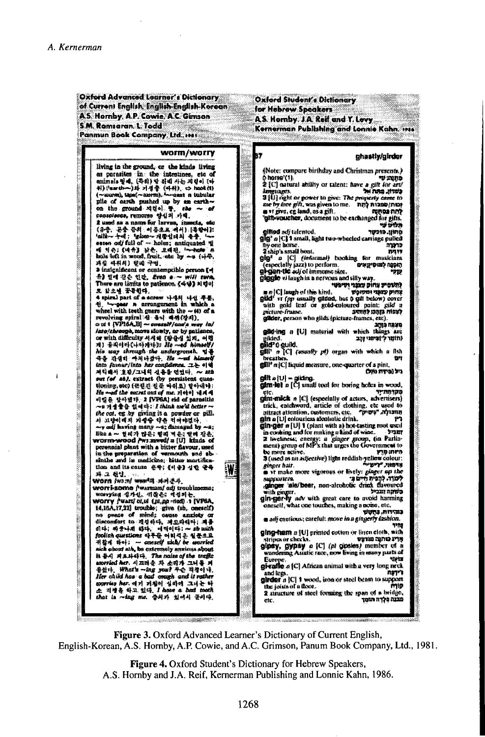$\bar{1}$ 

| Oxford Advanced Learner's Dictionary.<br>of Curron) English, English-English-Korean.<br>A.S. Hornby, A.P. Cowie, A.C. Gimson                                                                                                                                                                                                                                                                                                                                                                                                                                                                                                                                                                                                                                                                                                                                                                                                                                                                                                                                                                                                                                                                                                                                                                                                                                                                                                                                                                                                | Oxford Student's Dictionary<br>for Hobraw Speakers<br>A.S. Hornby. J.A. Red and T. Lovy                                                                                                                                                                                                                                                                                                                                                                                                                                                                                                                                                                                                                                                                                                                                                                                                                                                                                                                                                                                                                                                                                                                                                                                                                                                                                                                                                                                                                                                                                                                                                                                                                                            |
|-----------------------------------------------------------------------------------------------------------------------------------------------------------------------------------------------------------------------------------------------------------------------------------------------------------------------------------------------------------------------------------------------------------------------------------------------------------------------------------------------------------------------------------------------------------------------------------------------------------------------------------------------------------------------------------------------------------------------------------------------------------------------------------------------------------------------------------------------------------------------------------------------------------------------------------------------------------------------------------------------------------------------------------------------------------------------------------------------------------------------------------------------------------------------------------------------------------------------------------------------------------------------------------------------------------------------------------------------------------------------------------------------------------------------------------------------------------------------------------------------------------------------------|------------------------------------------------------------------------------------------------------------------------------------------------------------------------------------------------------------------------------------------------------------------------------------------------------------------------------------------------------------------------------------------------------------------------------------------------------------------------------------------------------------------------------------------------------------------------------------------------------------------------------------------------------------------------------------------------------------------------------------------------------------------------------------------------------------------------------------------------------------------------------------------------------------------------------------------------------------------------------------------------------------------------------------------------------------------------------------------------------------------------------------------------------------------------------------------------------------------------------------------------------------------------------------------------------------------------------------------------------------------------------------------------------------------------------------------------------------------------------------------------------------------------------------------------------------------------------------------------------------------------------------------------------------------------------------------------------------------------------------|
| 5.M. Romsaran. L. Todd<br>Panmun Book Company, Ltd., Issi<br>worm/worry<br>living in the ground, or the kinds living<br>as parasites in the intestines, etc of<br>amimals 일예, (무죄) 밥 죄백 사는 지렵이 (다<br>위}(harth--)와 기정을 (마위), ⇔ hook(t)<br>(~uurm), taps(~anrm), '~onnt a tubular<br>plie of carth pashed up by an carth-<br>on the ground 서점이 찾, nee ~ of<br>consolarea, remanso 양십피 가택.<br>2 used as a name for larvae, insects, etc.<br>(음금, 곤충 곱의 이름초로 예시) [축할어])<br>'ailk-- ヤイ; 'glom-- 재물업리의 용품, '~-<br>에 의주: 《네슈》 낡은, 오래된, lw-hulle a<br>hole left in wood, fruit, edu by -a (++4),<br>과질 때취취) 행배 구멍.<br>3 insignificant ar contempcible person (+)<br>유) 일에 같은 인간, <i>Evan a ~ will tur</i> a.<br>There are limits to patience. 《숙당》 저렇어<br>로 화초에 끝들했다.<br>4 spiral part of a screw 나세의 나선 부분,<br>4), twoods is arrongement in which a<br>wheel with teeth gears with the $ \uparrow\!\!\!\downarrow$ of a<br>revolving spiral 쉽 듣니 마까(장치).<br>a u i [VP16A_B] ~ cressi//ans's way in/<br>into/through, move slowly, or by patience,<br>or with dissoulty 시시에 (발음성 있지, 어렵<br>제) 움직이어(나아가냐); He —ed himself/<br>his way shrough the undergroush. Q &<br>수출 진생히 싸지나갔다. He --md himself<br>into favour/into her confidence. 그는 이익<br>제익배시 '효관/그내의 실음을 연었다. ~ ##<br>out (of 40), extract (by persistent ques-<br>tioning, sto) (표필진 절쭉 따쉬죠) 얼아내냐;<br>He --od the secret out of me. Acto] 1814<br>비밀용 장아했다. 2 [VPSA] rid of parentile<br>~s 가성 좋습 있어야;: / think meW better ~<br>the cat, eg by giving it a powder or pill. | Kernerman Publishing and Lonnie Kahn, 1916<br>87<br>ghastly/girder<br>w<br>(Note: compare birthday and Christmas presents.)<br>ô horse'(1).<br>マジ まくれる<br>2 [C] natural ability or talent: have a gift for art/<br>פשוון, מתח אל<br>languages.<br><b>3 [U]</b> right or power to give: The property came to<br>nie by free gift, was given to me. nmy manup/nmy<br>a vi prvo, og land, as a gift.<br>לתח נטפש<br>gilb-woucher, document to be exchanged for gifts.<br>מלדם עי<br>סתון. מוכטר<br>gimog adj talented.<br><b>glg</b> * a [C] 1 small, light two-wheeled carriage pulled<br>ity one bome.<br>סרוניה<br>2 ship's small bout.<br>71.77<br>gig <sup>e</sup> a [C] <i>(informal)</i> booking for musicians<br>(especially jazz) to perform.<br>تخليلها خلفاه بكافده<br><b>gi gan tic</b> adj of immens size.<br>קרקי<br>giggio vi laugh in a nervous and silly way.<br>לְהַשׁמִיעַ צוווק עצבו וְהִיפֹט<br>m as [C] Jacquis of this kind.<br>צמוס עושבי ומסר ש<br>gild' vr (np usnally gilded, but 0 gil below) cover<br>with gold heat or gold-coloured paint: gild a<br>לצפות בזהבג להוואב<br>picture-frame.<br>gader, person who gilds (picture frames, etc).<br>فدفنا فلأنخ<br>gelik/Ing a [U] material with which the<br>met arc<br>(חומר ליונימני והב<br>gikled.<br>gild"¢ quiki.<br>图#P n [C] (usuafly pt) organ with which a fish<br>becather<br>w<br><b>gill<sup>3</sup> n [C] liquid measure, one-quarter of a pint.</b><br>ניל (מידה נוגל)<br>gdit a (U) = giding.<br>gam let n [C] small tool for boring holes in wood,<br>פקרואניי<br>olc.<br>gám-mick n [C] (especially of acturs, advertisers)<br>trick, catchword, article of clothing, etc used to<br>מתנולה, יוסיקי<br>attraci atientiem, cusiomers, etc. |
| 사 교양이때지 개별증 약은 치어야겠다.<br>~y adj haring many ~e; damaged by ~e;<br>Bko a ~ NHZ NEI WEI WEI UN AE.<br>worm-wood /ws.mwed/ a [U] kinds of<br>perennial plant with a bitter flavour, used<br>in the preparation of vernouth and ab-<br>sinihe and in medicine; bitter mortifica-<br>tion and its causa 본학; 《이금》 심한 공주<br>W<br>파그 원임. <sub>(</sub> ****)<br>WOM [wonf wear!의 파키운사,<br>uvorri some j'warmanj odj troublmomo;<br>worrying 설가성, 귀찮은; 저정되는<br>worry fwart olul (bl.pp -dod) 1 (VPGA,<br>14,15A,17,22] trouble; give (sh, omesclf)<br>no peace of mind; cause anxiety or<br>discomfort to 재정하다, 재모와하다: 계를<br>리다: 짜꿍나리 라다. - 네찍이다: ~ sb mith<br>foolish questions 아무준 어찌석은 칠문으로<br>귀찮게 하아; - assesself sick/ be sourried<br>aich choirt ath, be extremely anxious about<br>社务4 网址444年, The naise of the traffic<br>assersied her. 시끄러운 차 소리가 그녀를 켜<br>음쳤다. What's →ing you! 우슨 직장이나.<br>Her child has a bad-onegh-and it rether<br>soprries her, 얘기 거칠이 심하여 그녀는 아<br>소 지생은 하고 있다. I Aske a bad math<br>shat is ~aug me. 출처가 있어서 끝씨다.                                                                                                                                                                                                                                                                                                                                                                                                                                                                                   | 3311 a [U] colouriess aboundie drink.<br>gin-ger n [U] 1 (plant with a) hot-tasting root used<br>in cooking and for making a kind of wine.<br>ान्ध्रम्<br>2 liveliness; energy: a <i>ginger group</i> , (in Parlin-<br>ment) group of MP's that urges the Government to<br>be more active.<br>fiş infa<br>3 (used as an adjective) light reddish-yellow colour:<br>אַדמָאַני, "נִישׁע"<br>ginger hair.<br>a vt make mem vigorous or lively: ginger up the<br>æ.<br>לשור. להמית חיים ב־<br>suncentris.<br>ginger ale/beer, non-alcohobe drink flavoured<br>טשקה ונגביל<br>with ginger.<br>gin-ger-ly adv with great care to avoid harming<br>oneself, what one touches, making a noise, etc.<br>במחוות, נוזטע<br>a adj cantious; careful: move ha a gingerly lashion.<br>ging-ham n [U] printed cotton or linen cloth, with<br>אריג כוחנת מודעס<br>stripes or checks.<br>glipsy, gypsy o [C] (pl gipsies) member of a<br>wondering Asiatic race, now fiving in many pasts of<br><b>TIFEE</b><br>Europe,<br>gi rafin a [C] African animal with a very long neck<br>الزاهلة<br>and legs.<br>glrder n [C] 1 wood, iron or steel beam to support<br>the joists of a floor.<br>mw<br>2 structure of sieci forming the span of a bridge,<br>מבנה מְלָדָה הוסד<br>etc.                                                                                                                                                                                                                                                                                                                                                                                                                                                                     |

Figure 3. Oxford Advanced Learner's Dictionary of Current English, English-Korean, A.S. Hornby, A.P. Cowie, and A.C. Grimson, Panum Book Company, Ltd., 1981.

Figure 4. Oxford Student's Dictionary for Hebrew Speakers, A.S. Hornby and J.A. Reif, Kernerman Publishing and Lonnie Kahn, 1986.